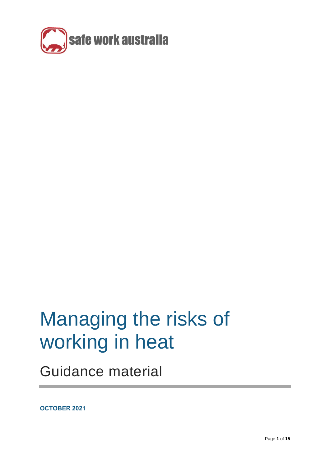

# Managing the risks of working in heat

Guidance material

**OCTOBER 2021**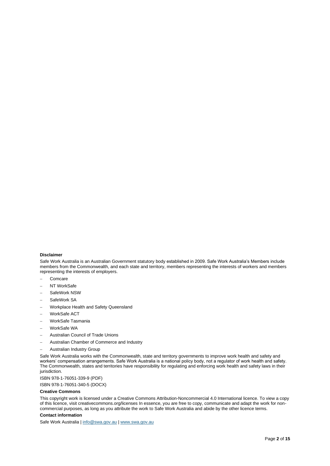#### **Disclaimer**

Safe Work Australia is an Australian Government statutory body established in 2009. Safe Work Australia's Members include members from the Commonwealth, and each state and territory, members representing the interests of workers and members representing the interests of employers.

- − Comcare
- NT WorkSafe
- SafeWork NSW
- SafeWork SA
- − Workplace Health and Safety Queensland
- WorkSafe ACT
- − WorkSafe Tasmania
- WorkSafe WA
- − Australian Council of Trade Unions
- − Australian Chamber of Commerce and Industry
- − Australian Industry Group

Safe Work Australia works with the Commonwealth, state and territory governments to improve work health and safety and workers' compensation arrangements. Safe Work Australia is a national policy body, not a regulator of work health and safety. The Commonwealth, states and territories have responsibility for regulating and enforcing work health and safety laws in their jurisdiction.

ISBN 978-1-76051-339-9 (PDF) ISBN 978-1-76051-340-5 (DOCX)

#### **Creative Commons**

This copyright work is licensed under a Creative Commons Attribution-Noncommercial 4.0 International licence. To view a copy of this licence, visit creativecommons.org/licenses In essence, you are free to copy, communicate and adapt the work for noncommercial purposes, as long as you attribute the work to Safe Work Australia and abide by the other licence terms.

#### **Contact information**

Safe Work Australia [| info@swa.gov.au](mailto:info@swa.gov.au) [| www.swa.gov.au](http://www.swa.gov.au/)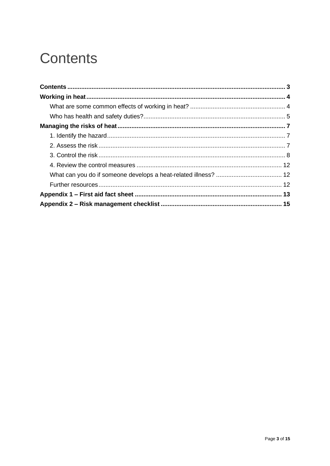# <span id="page-2-0"></span>**Contents**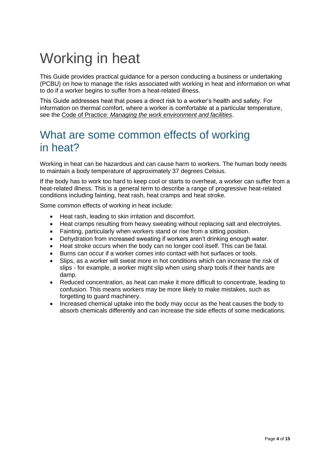# <span id="page-3-0"></span>Working in heat

This Guide provides practical guidance for a person conducting a business or undertaking (PCBU) on how to manage the risks associated with working in heat and information on what to do if a worker begins to suffer from a heat-related illness.

This Guide addresses heat that poses a direct risk to a worker's health and safety. For information on thermal comfort, where a worker is comfortable at a particular temperature, see the Code of Practice: *[Managing the work environment and facilities](https://www.safeworkaustralia.gov.au/doc/model-code-practice-managing-work-environment-and-facilities)*.

## <span id="page-3-1"></span>What are some common effects of working in heat?

Working in heat can be hazardous and can cause harm to workers. The human body needs to maintain a body temperature of approximately 37 degrees Celsius.

If the body has to work too hard to keep cool or starts to overheat, a worker can suffer from a heat-related illness. This is a general term to describe a range of progressive heat-related conditions including fainting, heat rash, heat cramps and heat stroke.

Some common effects of working in heat include:

- Heat rash, leading to skin irritation and discomfort.
- Heat cramps resulting from heavy sweating without replacing salt and electrolytes.
- Fainting, particularly when workers stand or rise from a sitting position.
- Dehydration from increased sweating if workers aren't drinking enough water.
- Heat stroke occurs when the body can no longer cool itself. This can be fatal.
- Burns can occur if a worker comes into contact with hot surfaces or tools.
- Slips, as a worker will sweat more in hot conditions which can increase the risk of slips - for example, a worker might slip when using sharp tools if their hands are damp.
- Reduced concentration, as heat can make it more difficult to concentrate, leading to confusion. This means workers may be more likely to make mistakes, such as forgetting to guard machinery.
- Increased chemical uptake into the body may occur as the heat causes the body to absorb chemicals differently and can increase the side effects of some medications.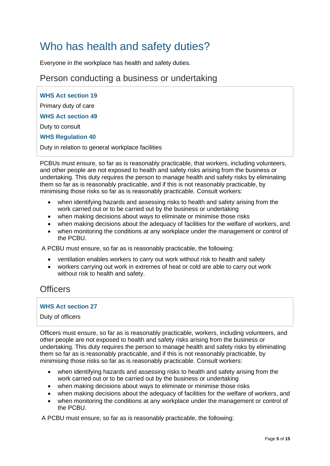# <span id="page-4-0"></span>Who has health and safety duties?

Everyone in the workplace has health and safety duties.

## Person conducting a business or undertaking

**WHS Act section 19** Primary duty of care **WHS Act section 49** Duty to consult **WHS Regulation 40**  Duty in relation to general workplace facilities

PCBUs must ensure, so far as is reasonably practicable, that workers, including volunteers, and other people are not exposed to health and safety risks arising from the business or undertaking. This duty requires the person to manage health and safety risks by eliminating them so far as is reasonably practicable, and if this is not reasonably practicable, by minimising those risks so far as is reasonably practicable. Consult workers:

- when identifying hazards and assessing risks to health and safety arising from the work carried out or to be carried out by the business or undertaking
- when making decisions about ways to eliminate or minimise those risks
- when making decisions about the adequacy of facilities for the welfare of workers, and
- when monitoring the conditions at any workplace under the management or control of the PCBU.

A PCBU must ensure, so far as is reasonably practicable, the following:

- ventilation enables workers to carry out work without risk to health and safety
- workers carrying out work in extremes of heat or cold are able to carry out work without risk to health and safety.

## **Officers**

### **WHS Act section 27**

#### Duty of officers

Officers must ensure, so far as is reasonably practicable, workers, including volunteers, and other people are not exposed to health and safety risks arising from the business or undertaking. This duty requires the person to manage health and safety risks by eliminating them so far as is reasonably practicable, and if this is not reasonably practicable, by minimising those risks so far as is reasonably practicable. Consult workers:

- when identifying hazards and assessing risks to health and safety arising from the work carried out or to be carried out by the business or undertaking
- when making decisions about ways to eliminate or minimise those risks
- when making decisions about the adequacy of facilities for the welfare of workers, and
- when monitoring the conditions at any workplace under the management or control of the PCBU.

A PCBU must ensure, so far as is reasonably practicable, the following: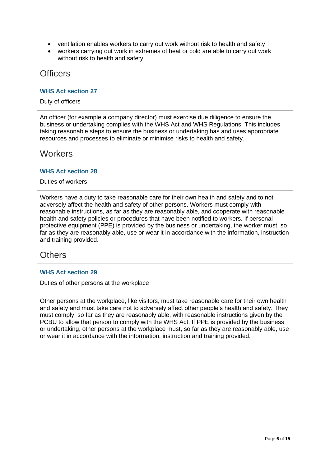- ventilation enables workers to carry out work without risk to health and safety
- workers carrying out work in extremes of heat or cold are able to carry out work without risk to health and safety.

### **Officers**

#### **WHS Act section 27**

Duty of officers

An officer (for example a company director) must exercise due diligence to ensure the business or undertaking complies with the WHS Act and WHS Regulations. This includes taking reasonable steps to ensure the business or undertaking has and uses appropriate resources and processes to eliminate or minimise risks to health and safety.

### **Workers**

#### **WHS Act section 28**

Duties of workers

Workers have a duty to take reasonable care for their own health and safety and to not adversely affect the health and safety of other persons. Workers must comply with reasonable instructions, as far as they are reasonably able, and cooperate with reasonable health and safety policies or procedures that have been notified to workers. If personal protective equipment (PPE) is provided by the business or undertaking, the worker must, so far as they are reasonably able, use or wear it in accordance with the information, instruction and training provided.

## **Others**

#### **WHS Act section 29**

Duties of other persons at the workplace

Other persons at the workplace, like visitors, must take reasonable care for their own health and safety and must take care not to adversely affect other people's health and safety. They must comply, so far as they are reasonably able, with reasonable instructions given by the PCBU to allow that person to comply with the WHS Act. If PPE is provided by the business or undertaking, other persons at the workplace must, so far as they are reasonably able, use or wear it in accordance with the information, instruction and training provided.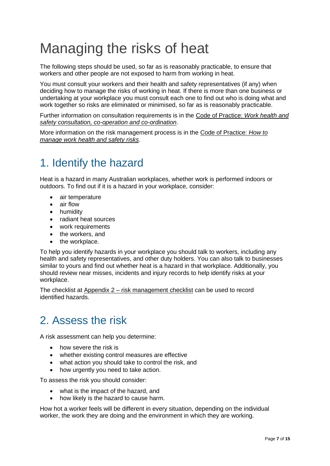# <span id="page-6-0"></span>Managing the risks of heat

The following steps should be used, so far as is reasonably practicable, to ensure that workers and other people are not exposed to harm from working in heat.

You must consult your workers and their health and safety representatives (if any) when deciding how to manage the risks of working in heat. If there is more than one business or undertaking at your workplace you must consult each one to find out who is doing what and work together so risks are eliminated or minimised, so far as is reasonably practicable.

Further information on consultation requirements is in the [Code of Practice:](https://www.safeworkaustralia.gov.au/doc/model-code-practice-work-health-and-safety-consultation-co-operation-and-co-ordination) *Work health and [safety consultation, co-operation and co-ordination](https://www.safeworkaustralia.gov.au/doc/model-code-practice-work-health-and-safety-consultation-co-operation-and-co-ordination)*.

More information on the risk management process is in the Code [of Practice:](https://www.safeworkaustralia.gov.au/doc/model-code-practice-how-manage-work-health-and-safety-risks) *How to [manage work health and safety risks](https://www.safeworkaustralia.gov.au/doc/model-code-practice-how-manage-work-health-and-safety-risks)*.

# <span id="page-6-1"></span>1. Identify the hazard

Heat is a hazard in many Australian workplaces, whether work is performed indoors or outdoors. To find out if it is a hazard in your workplace, consider:

- air temperature
- air flow
- humidity
- radiant heat sources
- work requirements
- the workers, and
- the workplace.

To help you identify hazards in your workplace you should talk to workers, including any health and safety representatives, and other duty holders. You can also talk to businesses similar to yours and find out whether heat is a hazard in that workplace. Additionally, you should review near misses, incidents and injury records to help identify risks at your workplace.

The checklist at Appendix 2 – [risk management checklist](#page-3-0) can be used to record identified hazards.

# <span id="page-6-2"></span>2. Assess the risk

A risk assessment can help you determine:

- how severe the risk is
- whether existing control measures are effective
- what action you should take to control the risk, and
- how urgently you need to take action.

To assess the risk you should consider:

- what is the impact of the hazard, and
- how likely is the hazard to cause harm.

How hot a worker feels will be different in every situation, depending on the individual worker, the work they are doing and the environment in which they are working.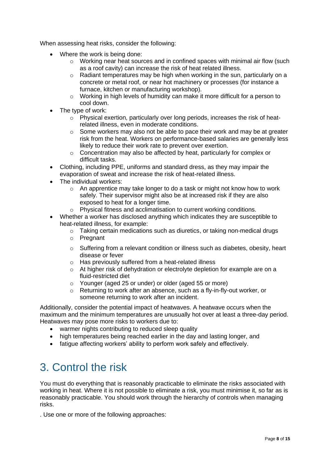When assessing heat risks, consider the following:

- Where the work is being done:
	- $\circ$  Working near heat sources and in confined spaces with minimal air flow (such as a roof cavity) can increase the risk of heat related illness.
	- $\circ$  Radiant temperatures may be high when working in the sun, particularly on a concrete or metal roof, or near hot machinery or processes (for instance a furnace, kitchen or manufacturing workshop).
	- o Working in high levels of humidity can make it more difficult for a person to cool down.
- The type of work:
	- o Physical exertion, particularly over long periods, increases the risk of heatrelated illness, even in moderate conditions.
	- $\circ$  Some workers may also not be able to pace their work and may be at greater risk from the heat. Workers on performance-based salaries are generally less likely to reduce their work rate to prevent over exertion.
	- o Concentration may also be affected by heat, particularly for complex or difficult tasks.
- Clothing, including PPE, uniforms and standard dress, as they may impair the evaporation of sweat and increase the risk of heat-related illness.
- The individual workers:
	- $\circ$  An apprentice may take longer to do a task or might not know how to work safely. Their supervisor might also be at increased risk if they are also exposed to heat for a longer time.
	- Physical fitness and acclimatisation to current working conditions.
- Whether a worker has disclosed anything which indicates they are susceptible to heat-related illness, for example:
	- o Taking certain medications such as diuretics, or taking non-medical drugs
	- o Pregnant
	- $\circ$  Suffering from a relevant condition or illness such as diabetes, obesity, heart disease or fever
	- o Has previously suffered from a heat-related illness
	- o At higher risk of dehydration or electrolyte depletion for example are on a fluid-restricted diet
	- o Younger (aged 25 or under) or older (aged 55 or more)
	- o Returning to work after an absence, such as a fly-in-fly-out worker, or someone returning to work after an incident.

Additionally, consider the potential impact of heatwaves. A heatwave occurs when the maximum and the minimum temperatures are unusually hot over at least a three-day period. Heatwaves may pose more risks to workers due to:

- warmer nights contributing to reduced sleep quality
- high temperatures being reached earlier in the day and lasting longer, and
- fatigue affecting workers' ability to perform work safely and effectively.

# <span id="page-7-0"></span>3. Control the risk

You must do everything that is reasonably practicable to eliminate the risks associated with working in heat. Where it is not possible to eliminate a risk, you must minimise it, so far as is reasonably practicable. You should work through the hierarchy of controls when managing risks.

. Use one or more of the following approaches: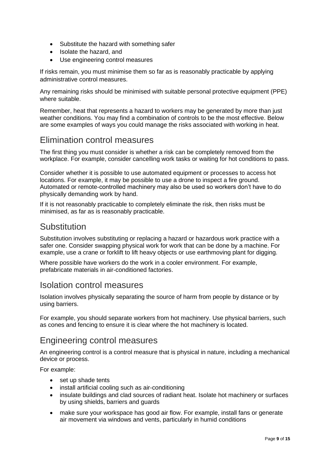- Substitute the hazard with something safer
- Isolate the hazard, and
- Use engineering control measures

If risks remain, you must minimise them so far as is reasonably practicable by applying administrative control measures.

Any remaining risks should be minimised with suitable personal protective equipment (PPE) where suitable.

Remember, heat that represents a hazard to workers may be generated by more than just weather conditions. You may find a combination of controls to be the most effective. Below are some examples of ways you could manage the risks associated with working in heat.

## Elimination control measures

The first thing you must consider is whether a risk can be completely removed from the workplace. For example, consider cancelling work tasks or waiting for hot conditions to pass.

Consider whether it is possible to use automated equipment or processes to access hot locations. For example, it may be possible to use a drone to inspect a fire ground. Automated or remote-controlled machinery may also be used so workers don't have to do physically demanding work by hand.

If it is not reasonably practicable to completely eliminate the risk, then risks must be minimised, as far as is reasonably practicable.

## **Substitution**

Substitution involves substituting or replacing a hazard or hazardous work practice with a safer one. Consider swapping physical work for work that can be done by a machine. For example, use a crane or forklift to lift heavy objects or use earthmoving plant for digging.

Where possible have workers do the work in a cooler environment. For example, prefabricate materials in air-conditioned factories.

## Isolation control measures

Isolation involves physically separating the source of harm from people by distance or by using barriers.

For example, you should separate workers from hot machinery. Use physical barriers, such as cones and fencing to ensure it is clear where the hot machinery is located.

## Engineering control measures

An engineering control is a control measure that is physical in nature, including a mechanical device or process.

For example:

- set up shade tents
- install artificial cooling such as air-conditioning
- insulate buildings and clad sources of radiant heat. Isolate hot machinery or surfaces by using shields, barriers and guards
- make sure your workspace has good air flow. For example, install fans or generate air movement via windows and vents, particularly in humid conditions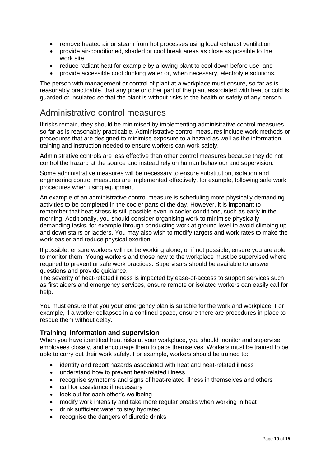- remove heated air or steam from hot processes using local exhaust ventilation
- provide air-conditioned, shaded or cool break areas as close as possible to the work site
- reduce radiant heat for example by allowing plant to cool down before use, and
- provide accessible cool drinking water or, when necessary, electrolyte solutions.

The person with management or control of plant at a workplace must ensure, so far as is reasonably practicable, that any pipe or other part of the plant associated with heat or cold is guarded or insulated so that the plant is without risks to the health or safety of any person.

## Administrative control measures

If risks remain, they should be minimised by implementing administrative control measures, so far as is reasonably practicable. Administrative control measures include work methods or procedures that are designed to minimise exposure to a hazard as well as the information, training and instruction needed to ensure workers can work safely.

Administrative controls are less effective than other control measures because they do not control the hazard at the source and instead rely on human behaviour and supervision.

Some administrative measures will be necessary to ensure substitution, isolation and engineering control measures are implemented effectively, for example, following safe work procedures when using equipment.

An example of an administrative control measure is scheduling more physically demanding activities to be completed in the cooler parts of the day. However, it is important to remember that heat stress is still possible even in cooler conditions, such as early in the morning. Additionally, you should consider organising work to minimise physically demanding tasks, for example through conducting work at ground level to avoid climbing up and down stairs or ladders. You may also wish to modify targets and work rates to make the work easier and reduce physical exertion.

If possible, ensure workers will not be working alone, or if not possible, ensure you are able to monitor them. Young workers and those new to the workplace must be supervised where required to prevent unsafe work practices. Supervisors should be available to answer questions and provide guidance.

The severity of heat-related illness is impacted by ease-of-access to support services such as first aiders and emergency services, ensure remote or isolated workers can easily call for help.

You must ensure that you your emergency plan is suitable for the work and workplace. For example, if a worker collapses in a confined space, ensure there are procedures in place to rescue them without delay.

### **Training, information and supervision**

When you have identified heat risks at your workplace, you should monitor and supervise employees closely, and encourage them to pace themselves. Workers must be trained to be able to carry out their work safely. For example, workers should be trained to:

- identify and report hazards associated with heat and heat-related illness
- understand how to prevent heat-related illness
- recognise symptoms and signs of heat-related illness in themselves and others
- call for assistance if necessary
- look out for each other's wellbeing
- modify work intensity and take more regular breaks when working in heat
- drink sufficient water to stay hydrated
- recognise the dangers of diuretic drinks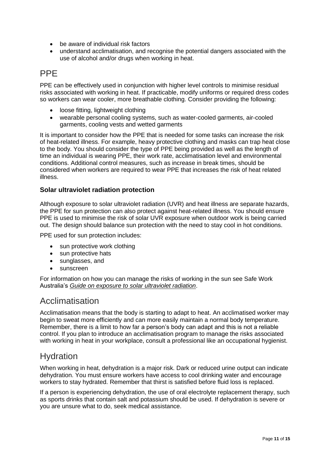- be aware of individual risk factors
- understand acclimatisation, and recognise the potential dangers associated with the use of alcohol and/or drugs when working in heat.

## PPE

PPE can be effectively used in conjunction with higher level controls to minimise residual risks associated with working in heat. If practicable, modify uniforms or required dress codes so workers can wear cooler, more breathable clothing. Consider providing the following:

- loose fitting, lightweight clothing
- wearable personal cooling systems, such as water-cooled garments, air-cooled garments, cooling vests and wetted garments

It is important to consider how the PPE that is needed for some tasks can increase the risk of heat-related illness. For example, heavy protective clothing and masks can trap heat close to the body. You should consider the type of PPE being provided as well as the length of time an individual is wearing PPE, their work rate, acclimatisation level and environmental conditions. Additional control measures, such as increase in break times, should be considered when workers are required to wear PPE that increases the risk of heat related illness.

### **Solar ultraviolet radiation protection**

Although exposure to solar ultraviolet radiation (UVR) and heat illness are separate hazards, the PPE for sun protection can also protect against heat-related illness. You should ensure PPE is used to minimise the risk of solar UVR exposure when outdoor work is being carried out. The design should balance sun protection with the need to stay cool in hot conditions.

PPE used for sun protection includes:

- sun protective work clothing
- sun protective hats
- sunglasses, and
- sunscreen

For information on how you can manage the risks of working in the sun see Safe Work Australia's *[Guide on exposure to solar ultraviolet radiation](https://www.safeworkaustralia.gov.au/doc/guide-exposure-solar-ultraviolet-radiation-uvr)*.

### Acclimatisation

Acclimatisation means that the body is starting to adapt to heat. An acclimatised worker may begin to sweat more efficiently and can more easily maintain a normal body temperature. Remember, there is a limit to how far a person's body can adapt and this is not a reliable control. If you plan to introduce an acclimatisation program to manage the risks associated with working in heat in your workplace, consult a professional like an occupational hygienist.

## Hydration

When working in heat, dehydration is a major risk. Dark or reduced urine output can indicate dehydration. You must ensure workers have access to cool drinking water and encourage workers to stay hydrated. Remember that thirst is satisfied before fluid loss is replaced.

If a person is experiencing dehydration, the use of oral electrolyte replacement therapy, such as sports drinks that contain salt and potassium should be used. If dehydration is severe or you are unsure what to do, seek medical assistance.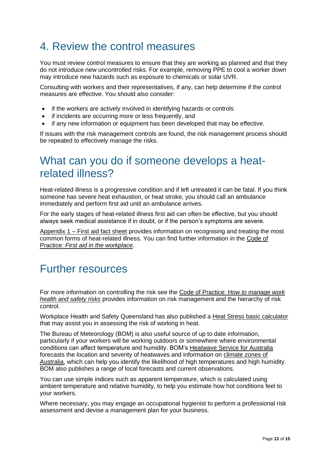## <span id="page-11-0"></span>4. Review the control measures

You must review control measures to ensure that they are working as planned and that they do not introduce new uncontrolled risks. For example, removing PPE to cool a worker down may introduce new hazards such as exposure to chemicals or solar UVR.

Consulting with workers and their representatives, if any, can help determine if the control measures are effective. You should also consider:

- if the workers are actively involved in identifying hazards or controls
- if incidents are occurring more or less frequently, and
- if any new information or equipment has been developed that may be effective.

If issues with the risk management controls are found, the risk management process should be repeated to effectively manage the risks.

## <span id="page-11-1"></span>What can you do if someone develops a heatrelated illness?

Heat-related illness is a progressive condition and if left untreated it can be fatal. If you think someone has severe heat exhaustion, or heat stroke, you should call an ambulance immediately and perform first aid until an ambulance arrives.

For the early stages of heat-related illness first aid can often be effective, but you should always seek medical assistance if in doubt, or if the person's symptoms are severe.

Appendix 1 – [First aid fact sheet](#page-3-0) provides information on recognising and treating the most common forms of heat-related illness. You can find further information in the [Code of](https://www.safeworkaustralia.gov.au/doc/model-code-practice-first-aid-workplace)  Practice: *[First aid in the workplace.](https://www.safeworkaustralia.gov.au/doc/model-code-practice-first-aid-workplace)*

## <span id="page-11-2"></span>Further resources

For more information on controlling the risk see the Code of Practice: *[How to manage work](https://www.safeworkaustralia.gov.au/doc/model-code-practice-how-manage-work-health-and-safety-risks)  [health and safety](https://www.safeworkaustralia.gov.au/doc/model-code-practice-how-manage-work-health-and-safety-risks) risks* provides information on risk management and the hierarchy of risk control.

Workplace Health and Safety Queensland has also published a [Heat Stress basic calculator](https://fswqap.worksafe.qld.gov.au/etools/etool/heat-stress-basic-calculator-test/) that may assist you in assessing the risk of working in heat.

The Bureau of Meteorology (BOM) is also useful source of up to date information, particularly if your workers will be working outdoors or somewhere where environmental conditions can affect temperature and humidity. BOM's [Heatwave Service for Australia](http://www.bom.gov.au/australia/heatwave/) forecasts the location and severity of heatwaves and information on [climate zones of](http://www.bom.gov.au/jsp/ncc/climate_averages/climate-classifications/index.jsp)  [Australia,](http://www.bom.gov.au/jsp/ncc/climate_averages/climate-classifications/index.jsp) which can help you identify the likelihood of high temperatures and high humidity. BOM also publishes a range of local forecasts and current observations.

You can use simple indices such as apparent temperature, which is calculated using ambient temperature and relative humidity, to help you estimate how hot conditions feel to your workers.

Where necessary, you may engage an occupational hygienist to perform a professional risk assessment and devise a management plan for your business.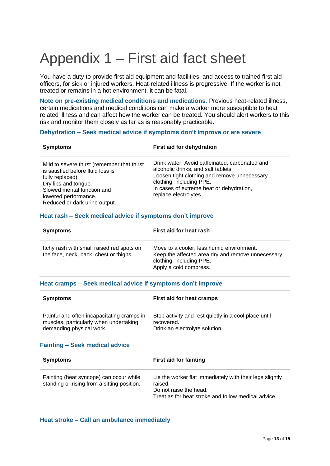# <span id="page-12-0"></span>Appendix 1 – First aid fact sheet

You have a duty to provide first aid equipment and facilities, and access to trained first aid officers, for sick or injured workers. Heat-related illness is progressive. If the worker is not treated or remains in a hot environment, it can be fatal.

**Note on pre-existing medical conditions and medications.** Previous heat-related illness, certain medications and medical conditions can make a worker more susceptible to heat related illness and can affect how the worker can be treated. You should alert workers to this risk and monitor them closely as far as is reasonably practicable.

#### **Dehydration – Seek medical advice if symptoms don't improve or are severe**

| <b>Symptoms</b>                                                                                                                                                                                                     | First aid for dehydration                                                                                                                                                                                                              |
|---------------------------------------------------------------------------------------------------------------------------------------------------------------------------------------------------------------------|----------------------------------------------------------------------------------------------------------------------------------------------------------------------------------------------------------------------------------------|
| Mild to severe thirst (remember that thirst<br>is satisfied before fluid loss is<br>fully replaced).<br>Dry lips and tongue.<br>Slowed mental function and<br>lowered performance.<br>Reduced or dark urine output. | Drink water. Avoid caffeinated, carbonated and<br>alcoholic drinks, and salt tablets.<br>Loosen tight clothing and remove unnecessary<br>clothing, including PPE.<br>In cases of extreme heat or dehydration,<br>replace electrolytes. |

#### **Heat rash – Seek medical advice if symptoms don't improve**

| <b>Symptoms</b>                                                                     | First aid for heat rash                                                                                                                              |
|-------------------------------------------------------------------------------------|------------------------------------------------------------------------------------------------------------------------------------------------------|
| Itchy rash with small raised red spots on<br>the face, neck, back, chest or thighs. | Move to a cooler, less humid environment.<br>Keep the affected area dry and remove unnecessary<br>clothing, including PPE.<br>Apply a cold compress. |

#### **Heat cramps – Seek medical advice if symptoms don't improve**

| <b>Symptoms</b>                                                                                                  | First aid for heat cramps                                                                                                                            |
|------------------------------------------------------------------------------------------------------------------|------------------------------------------------------------------------------------------------------------------------------------------------------|
| Painful and often incapacitating cramps in<br>muscles, particularly when undertaking<br>demanding physical work. | Stop activity and rest quietly in a cool place until<br>recovered.<br>Drink an electrolyte solution.                                                 |
| <b>Fainting - Seek medical advice</b>                                                                            |                                                                                                                                                      |
| <b>Symptoms</b>                                                                                                  | <b>First aid for fainting</b>                                                                                                                        |
| Fainting (heat syncope) can occur while<br>standing or rising from a sitting position.                           | Lie the worker flat immediately with their legs slightly<br>raised.<br>Do not raise the head.<br>Treat as for heat stroke and follow medical advice. |

#### **Heat stroke – Call an ambulance immediately**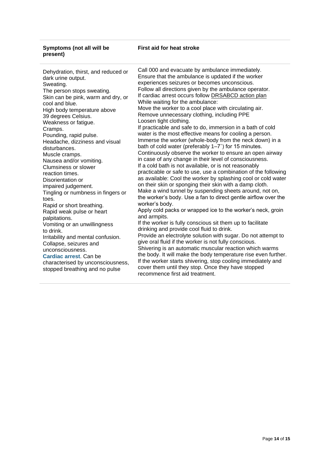#### **Symptoms (not all will be present)**

#### **First aid for heat stroke**

Dehydration, thirst, and reduced or dark urine output. Sweating. The person stops sweating. Skin can be pink, warm and dry, or cool and blue. High body temperature above 39 degrees Celsius. Weakness or fatigue. Cramps. Pounding, rapid pulse. Headache, dizziness and visual disturbances. Muscle cramps. Nausea and/or vomiting. Clumsiness or slower reaction times. Disorientation or impaired judgement. Tingling or numbness in fingers or toes. Rapid or short breathing. Rapid weak pulse or heart palpitations. Vomiting or an unwillingness to drink. Irritability and mental confusion. Collapse, seizures and unconsciousness. **Cardiac arrest**. Can be characterised by unconsciousness, stopped breathing and no pulse

Call 000 and evacuate by ambulance immediately. Ensure that the ambulance is updated if the worker experiences seizures or becomes unconscious. Follow all directions given by the ambulance operator. If cardiac arrest occurs follow [DRSABCD action plan](http://www.stjohnnsw.com.au/drsabcd-action-plan/) While waiting for the ambulance: Move the worker to a cool place with circulating air. Remove unnecessary clothing, including PPE Loosen tight clothing. If practicable and safe to do, immersion in a bath of cold water is the most effective means for cooling a person. Immerse the worker (whole-body from the neck down) in a bath of cold water (preferably 1–7˚) for 15 minutes. Continuously observe the worker to ensure an open airway in case of any change in their level of consciousness. If a cold bath is not available, or is not reasonably practicable or safe to use, use a combination of the following as available: Cool the worker by splashing cool or cold water on their skin or sponging their skin with a damp cloth. Make a wind tunnel by suspending sheets around, not on, the worker's body. Use a fan to direct gentle airflow over the worker's body. Apply cold packs or wrapped ice to the worker's neck, groin and armpits. If the worker is fully conscious sit them up to facilitate drinking and provide cool fluid to drink. Provide an electrolyte solution with sugar. Do not attempt to give oral fluid if the worker is not fully conscious. Shivering is an automatic muscular reaction which warms the body. It will make the body temperature rise even further. If the worker starts shivering, stop cooling immediately and cover them until they stop. Once they have stopped recommence first aid treatment.